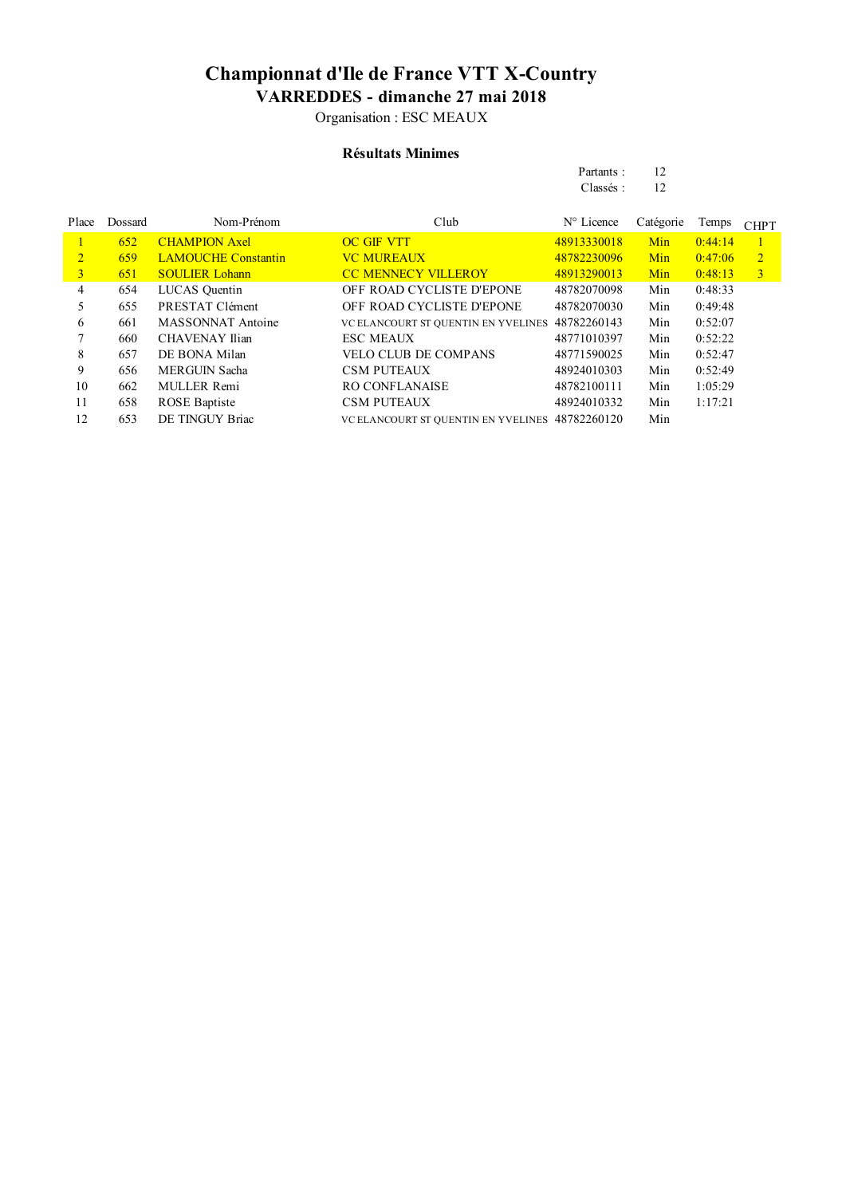Organisation : ESC MEAUX

#### **Résultats Minimes**

| Partants: | 12 |
|-----------|----|
| Classés:  | 12 |

| Place          | Dossard | Nom-Prénom                 | Club                                            | $N^{\circ}$ Licence | Catégorie | Temps   | <b>CHPT</b>    |
|----------------|---------|----------------------------|-------------------------------------------------|---------------------|-----------|---------|----------------|
|                | 652     | <b>CHAMPION Axel</b>       | <b>OC GIF VTT</b>                               | 48913330018         | Min       | 0:44:14 |                |
| $\overline{2}$ | 659     | <b>LAMOUCHE Constantin</b> | <b>VC MUREAUX</b>                               | 48782230096         | Min       | 0:47:06 | $\overline{2}$ |
| 3              | 651     | <b>SOULIER Lohann</b>      | <b>CC MENNECY VILLEROY</b>                      | 48913290013         | Min       | 0:48:13 | 3              |
| 4              | 654     | LUCAS Quentin              | OFF ROAD CYCLISTE D'EPONE                       | 48782070098         | Min       | 0:48:33 |                |
|                | 655     | PRESTAT Clément            | <b>OFF ROAD CYCLISTE D'EPONE</b>                | 48782070030         | Min       | 0:49:48 |                |
| 6              | 661     | <b>MASSONNAT Antoine</b>   | VC ELANCOURT ST QUENTIN EN YVELINES             | 48782260143         | Min       | 0:52:07 |                |
|                | 660     | <b>CHAVENAY Ilian</b>      | <b>ESC MEAUX</b>                                | 48771010397         | Min       | 0:52:22 |                |
| 8              | 657     | DE BONA Milan              | <b>VELO CLUB DE COMPANS</b>                     | 48771590025         | Min       | 0:52:47 |                |
| 9              | 656     | <b>MERGUIN Sacha</b>       | <b>CSM PUTEAUX</b>                              | 48924010303         | Min       | 0:52:49 |                |
| 10             | 662     | <b>MULLER Remi</b>         | <b>RO CONFLANAISE</b>                           | 48782100111         | Min       | 1:05:29 |                |
| 11             | 658     | <b>ROSE</b> Baptiste       | <b>CSM PUTEAUX</b>                              | 48924010332         | Min       | 1:17:21 |                |
| 12             | 653     | DE TINGUY Briac            | VC ELANCOURT ST QUENTIN EN YVELINES 48782260120 |                     | Min       |         |                |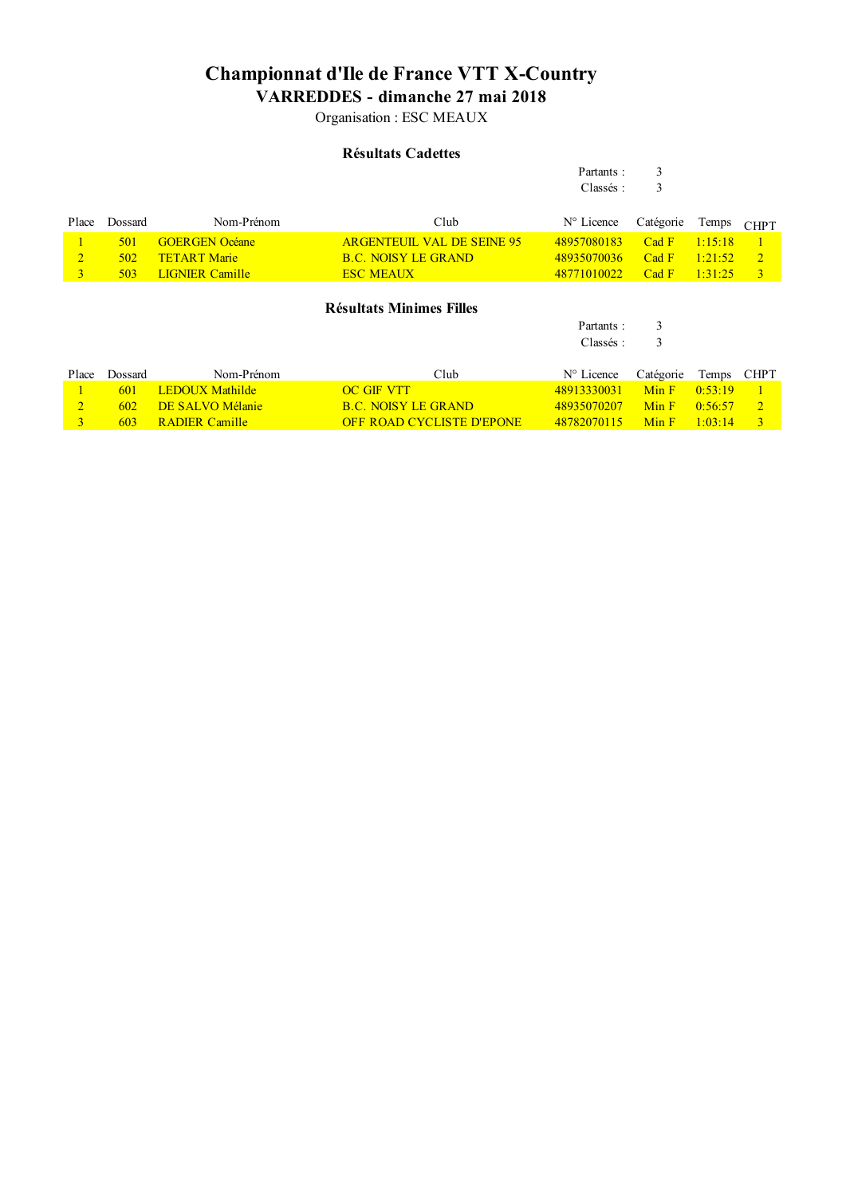Organisation : ESC MEAUX

### **Résultats Cadettes**

Partants : 3

|                |         |                        |                                   | Classés:            | 3         |         |                |
|----------------|---------|------------------------|-----------------------------------|---------------------|-----------|---------|----------------|
|                |         |                        |                                   |                     |           |         |                |
| Place          | Dossard | Nom-Prénom             | Club                              | $N^{\circ}$ Licence | Catégorie | Temps   | <b>CHPT</b>    |
|                | 501     | <b>GOERGEN Océane</b>  | <b>ARGENTEUIL VAL DE SEINE 95</b> | 48957080183         | Cad F     | 1:15:18 |                |
| $\overline{2}$ | 502     | <b>TETART Marie</b>    | <b>B.C. NOISY LE GRAND</b>        | 48935070036         | Cad F     | 1:21:52 | $\overline{2}$ |
| $\overline{3}$ | 503     | <b>LIGNIER Camille</b> | <b>ESC MEAUX</b>                  | 48771010022         | Cad F     | 1:31:25 | $\overline{3}$ |
|                |         |                        |                                   |                     |           |         |                |
|                |         |                        | <b>Résultats Minimes Filles</b>   |                     |           |         |                |
|                |         |                        |                                   | Partants:           | 3         |         |                |
|                |         |                        |                                   | Classés:            | 3         |         |                |
|                |         |                        |                                   |                     |           |         |                |
| Place          | Dossard | Nom-Prénom             | Club                              | $N^{\circ}$ Licence | Catégorie | Temps   | <b>CHPT</b>    |
|                | 601     | <b>LEDOUX Mathilde</b> | <b>OC GIF VTT</b>                 | 48913330031         | Min F     | 0:53:19 | $\mathbf{1}$   |
| $\overline{2}$ | 602     | DE SALVO Mélanie       | <b>B.C. NOISY LE GRAND</b>        | 48935070207         | Min F     | 0:56:57 | $\overline{2}$ |
| 3              | 603     | <b>RADIER Camille</b>  | <b>OFF ROAD CYCLISTE D'EPONE</b>  | 48782070115         | Min F     | 1:03:14 | $\overline{3}$ |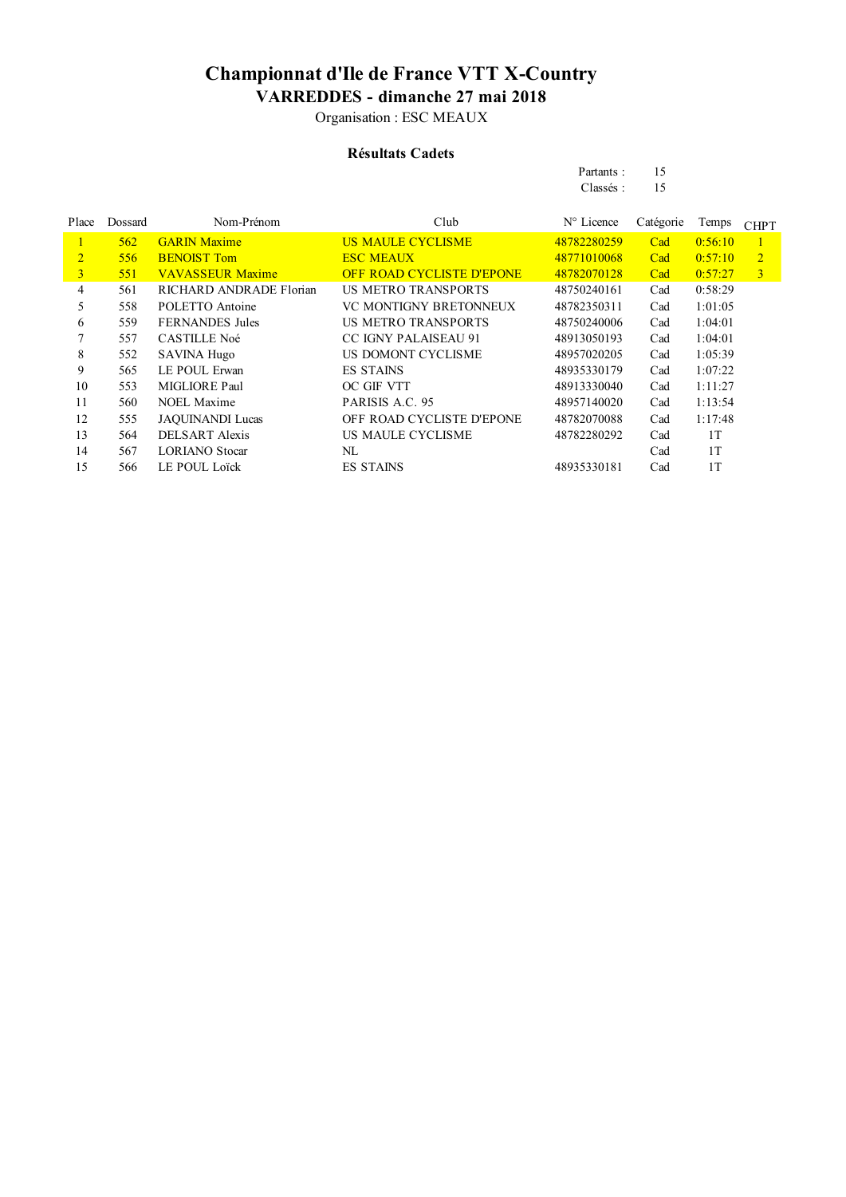Organisation : ESC MEAUX

### **Résultats Cadets**

| Partants: | 15 |
|-----------|----|
| Classés:  | 15 |

| Place          | Dossard | Nom-Prénom              | Club                             | $No$ Licence | Catégorie | Temps   | <b>CHPT</b>    |
|----------------|---------|-------------------------|----------------------------------|--------------|-----------|---------|----------------|
| L              | 562     | <b>GARIN Maxime</b>     | <b>US MAULE CYCLISME</b>         | 48782280259  | Cad       | 0:56:10 |                |
| $\overline{2}$ | 556     | <b>BENOIST Tom</b>      | <b>ESC MEAUX</b>                 | 48771010068  | Cad       | 0:57:10 | $\overline{2}$ |
| $\overline{3}$ | 551     | <b>VAVASSEUR Maxime</b> | <b>OFF ROAD CYCLISTE D'EPONE</b> | 48782070128  | Cad       | 0:57:27 | $\overline{3}$ |
| 4              | 561     | RICHARD ANDRADE Florian | <b>US METRO TRANSPORTS</b>       | 48750240161  | Cad       | 0:58:29 |                |
| 5.             | 558     | POLETTO Antoine         | VC MONTIGNY BRETONNEUX           | 48782350311  | Cad       | 1:01:05 |                |
| 6              | 559     | <b>FERNANDES</b> Jules  | <b>US METRO TRANSPORTS</b>       | 48750240006  | Cad       | 1:04:01 |                |
| 7              | 557     | <b>CASTILLE Noé</b>     | <b>CC IGNY PALAISEAU 91</b>      | 48913050193  | Cad       | 1:04:01 |                |
| 8              | 552     | <b>SAVINA Hugo</b>      | US DOMONT CYCLISME               | 48957020205  | Cad       | 1:05:39 |                |
| 9              | 565     | LE POUL Erwan           | <b>ES STAINS</b>                 | 48935330179  | Cad       | 1:07:22 |                |
| 10             | 553     | MIGLIORE Paul           | OC GIF VTT                       | 48913330040  | Cad       | 1:11:27 |                |
| 11             | 560     | NOEL Maxime             | PARISIS A.C. 95                  | 48957140020  | Cad       | 1:13:54 |                |
| 12             | 555     | <b>JAQUINANDI Lucas</b> | OFF ROAD CYCLISTE D'EPONE        | 48782070088  | Cad       | 1:17:48 |                |
| 13             | 564     | <b>DELSART</b> Alexis   | US MAULE CYCLISME                | 48782280292  | Cad       | 1T      |                |
| 14             | 567     | <b>LORIANO</b> Stocar   | NL                               |              | Cad       | 1T      |                |
| 15             | 566     | <b>LE POUL Loïck</b>    | <b>ES STAINS</b>                 | 48935330181  | Cad       | 1T      |                |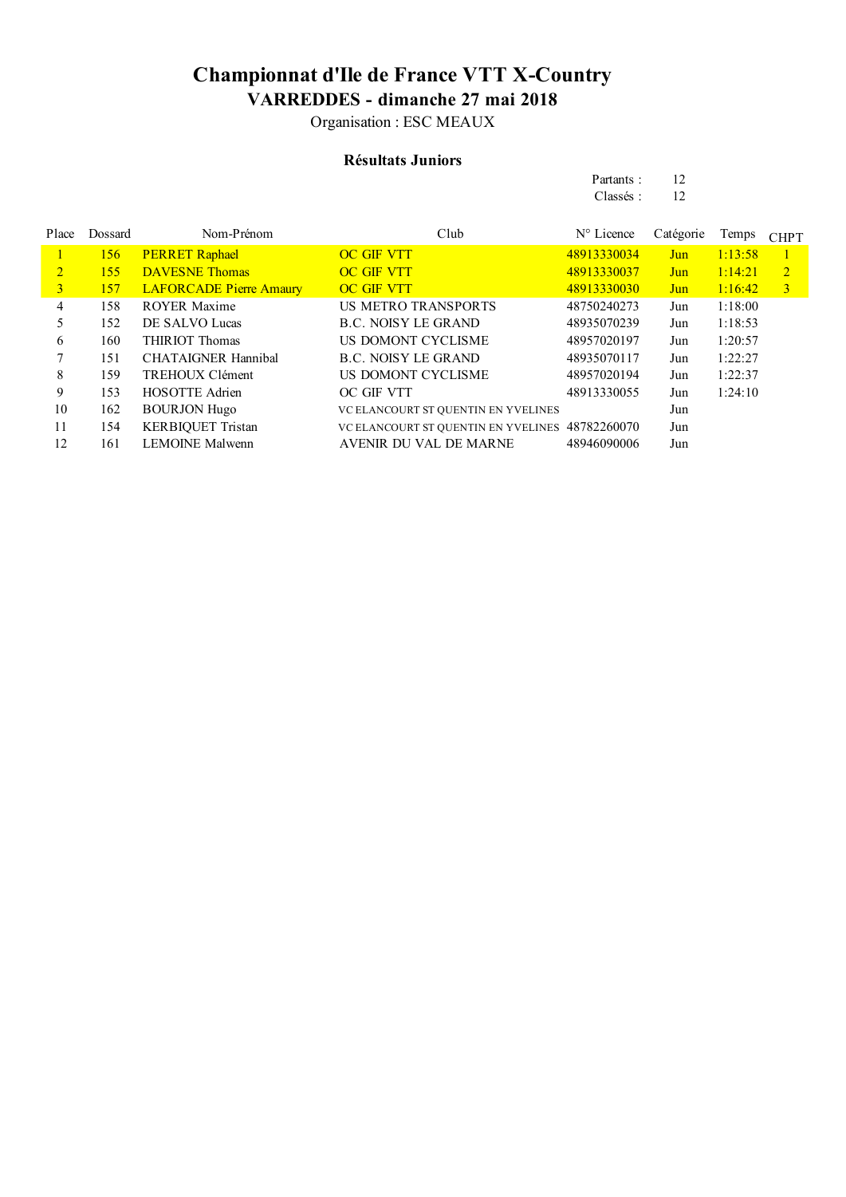Organisation : ESC MEAUX

### **Résultats Juniors**

| Partants: | 12 |
|-----------|----|
| Classés:  | 12 |

| Place          | Dossard | Nom-Prénom                     | Club                                            | $N^{\circ}$ Licence | Catégorie | Temps   | <b>CHPT</b>    |
|----------------|---------|--------------------------------|-------------------------------------------------|---------------------|-----------|---------|----------------|
|                | 156     | <b>PERRET Raphael</b>          | <b>OC GIF VTT</b>                               | 48913330034         | Jun       | 1:13:58 |                |
| $\overline{2}$ | 155     | <b>DAVESNE Thomas</b>          | <b>OC GIF VTT</b>                               | 48913330037         | Jun       | 1:14:21 | $\overline{2}$ |
| $\mathbf{3}$   | 157     | <b>LAFORCADE Pierre Amaury</b> | <b>OC GIF VTT</b>                               | 48913330030         | Jun       | 1:16:42 | $\overline{3}$ |
| 4              | 158     | <b>ROYER Maxime</b>            | <b>US METRO TRANSPORTS</b>                      | 48750240273         | Jun       | 1:18:00 |                |
|                | 152     | DE SALVO Lucas                 | <b>B.C. NOISY LE GRAND</b>                      | 48935070239         | Jun       | 1:18:53 |                |
| 6              | 160     | <b>THIRIOT Thomas</b>          | US DOMONT CYCLISME                              | 48957020197         | Jun       | 1:20:57 |                |
|                | 151     | <b>CHATAIGNER Hannibal</b>     | B.C. NOISY LE GRAND                             | 48935070117         | Jun       | 1:22:27 |                |
| 8              | 159     | TREHOUX Clément                | US DOMONT CYCLISME                              | 48957020194         | Jun       | 1:22:37 |                |
| 9              | 153     | <b>HOSOTTE Adrien</b>          | OC GIF VTT                                      | 48913330055         | Jun       | 1:24:10 |                |
| 10             | 162     | <b>BOURJON Hugo</b>            | VC ELANCOURT ST QUENTIN EN YVELINES             |                     | Jun       |         |                |
| 11             | 154     | <b>KERBIQUET Tristan</b>       | VC ELANCOURT ST QUENTIN EN YVELINES 48782260070 |                     | Jun       |         |                |
| 12             | 161     | <b>LEMOINE Malwenn</b>         | AVENIR DU VAL DE MARNE                          | 48946090006         | Jun       |         |                |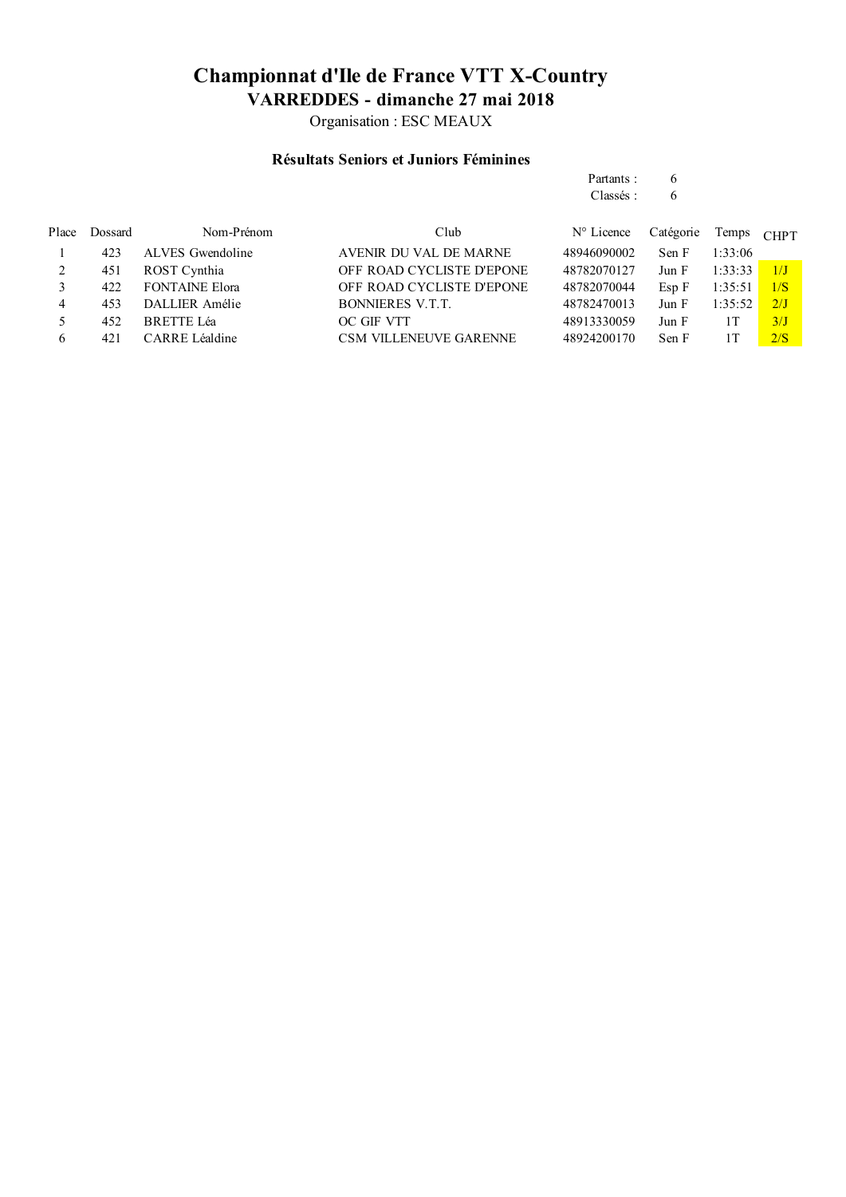Organisation : ESC MEAUX

### **Résultats Seniors et Juniors Féminines**

| Place | Dossard | Nom-Prénom            | Club                          | $N^{\circ}$ Licence | Catégorie | Temps   | <b>CHPT</b> |
|-------|---------|-----------------------|-------------------------------|---------------------|-----------|---------|-------------|
|       | 423     | ALVES Gwendoline      | AVENIR DU VAL DE MARNE        | 48946090002         | Sen F     | 1:33:06 |             |
| 2     | 451     | ROST Cynthia          | OFF ROAD CYCLISTE D'EPONE     | 48782070127         | Jun F     | 1:33:33 | 1/J         |
|       | 422     | <b>FONTAINE Elora</b> | OFF ROAD CYCLISTE D'EPONE     | 48782070044         | Esp F     | 1:35:51 | 1/S         |
| 4     | 453     | DALLIER Amélie        | <b>BONNIERES V.T.T.</b>       | 48782470013         | Jun F     | 1:35:52 | 2/J         |
|       | 452     | <b>BRETTE Léa</b>     | OC GIF VTT                    | 48913330059         | Jun F     | 1Τ      | 3/I         |
| 6     | 421     | CARRE Léaldine        | <b>CSM VILLENEUVE GARENNE</b> | 48924200170         | Sen F     | 1 T     | 2/S         |

Partants : 6 Classés : 6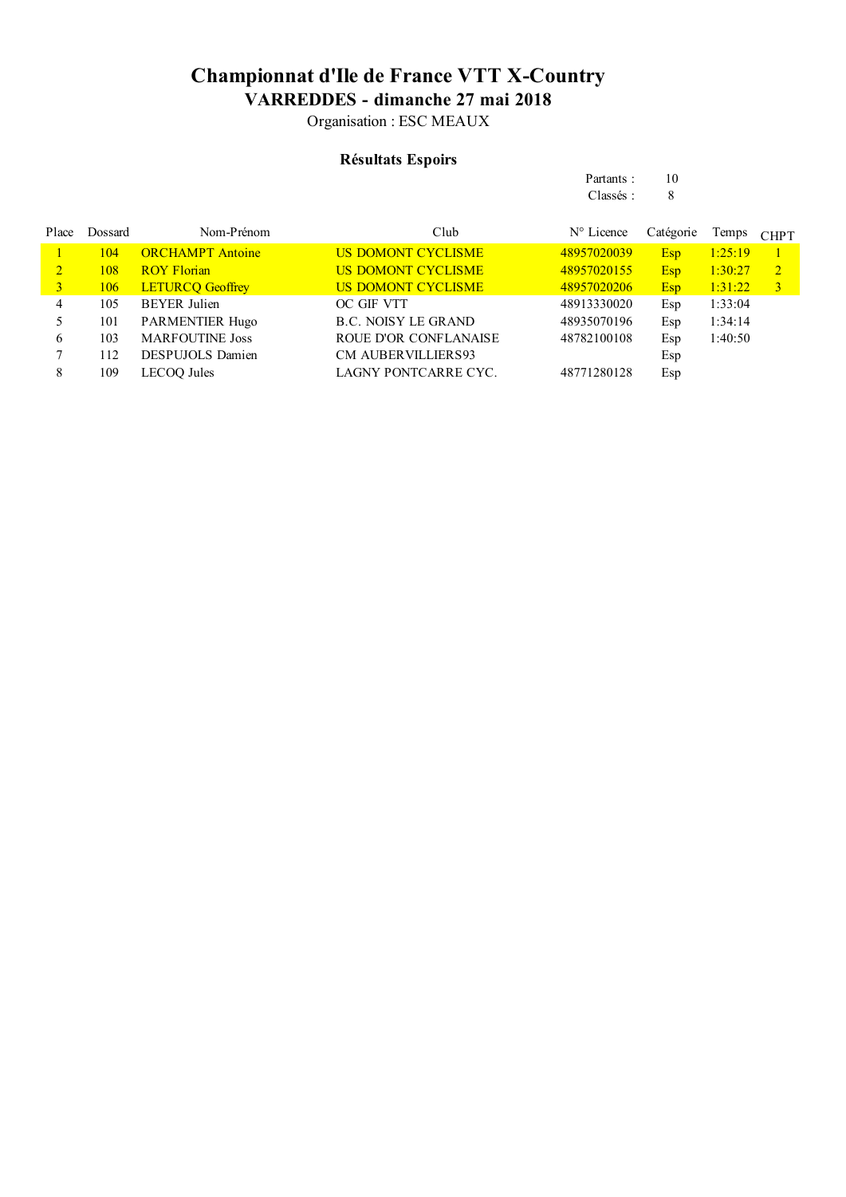Organisation : ESC MEAUX

### **Résultats Espoirs**

|                |            |                         |                            | Classés:            | 8          |         |                |
|----------------|------------|-------------------------|----------------------------|---------------------|------------|---------|----------------|
| Place          | Dossard    | Nom-Prénom              | Club                       | $N^{\circ}$ Licence | Catégorie  | Temps   | <b>CHPT</b>    |
|                | 104        | <b>ORCHAMPT</b> Antoine | <b>US DOMONT CYCLISME</b>  | 48957020039         | Esp        | 1:25:19 |                |
| $\overline{2}$ | 108        | <b>ROY Florian</b>      | <b>US DOMONT CYCLISME</b>  | 48957020155         | <b>Esp</b> | 1:30:27 | $\mathbf{2}$   |
| 3              | <b>106</b> | <b>LETURCQ Geoffrey</b> | <b>US DOMONT CYCLISME</b>  | 48957020206         | Esp        | 1:31:22 | $\overline{3}$ |
| 4              | 105        | <b>BEYER</b> Julien     | OC GIF VTT                 | 48913330020         | Esp        | 1:33:04 |                |
|                | 101        | <b>PARMENTIER Hugo</b>  | <b>B.C. NOISY LE GRAND</b> | 48935070196         | Esp        | 1:34:14 |                |
| 6              | 103        | <b>MARFOUTINE Joss</b>  | ROUE D'OR CONFLANAISE      | 48782100108         | Esp        | 1:40:50 |                |
|                | 112        | <b>DESPUJOLS Damien</b> | <b>CM AUBERVILLIERS93</b>  |                     | Esp        |         |                |
| 8              | 109        | <b>LECOQ</b> Jules      | LAGNY PONTCARRE CYC.       | 48771280128         | Esp        |         |                |

Partants : 10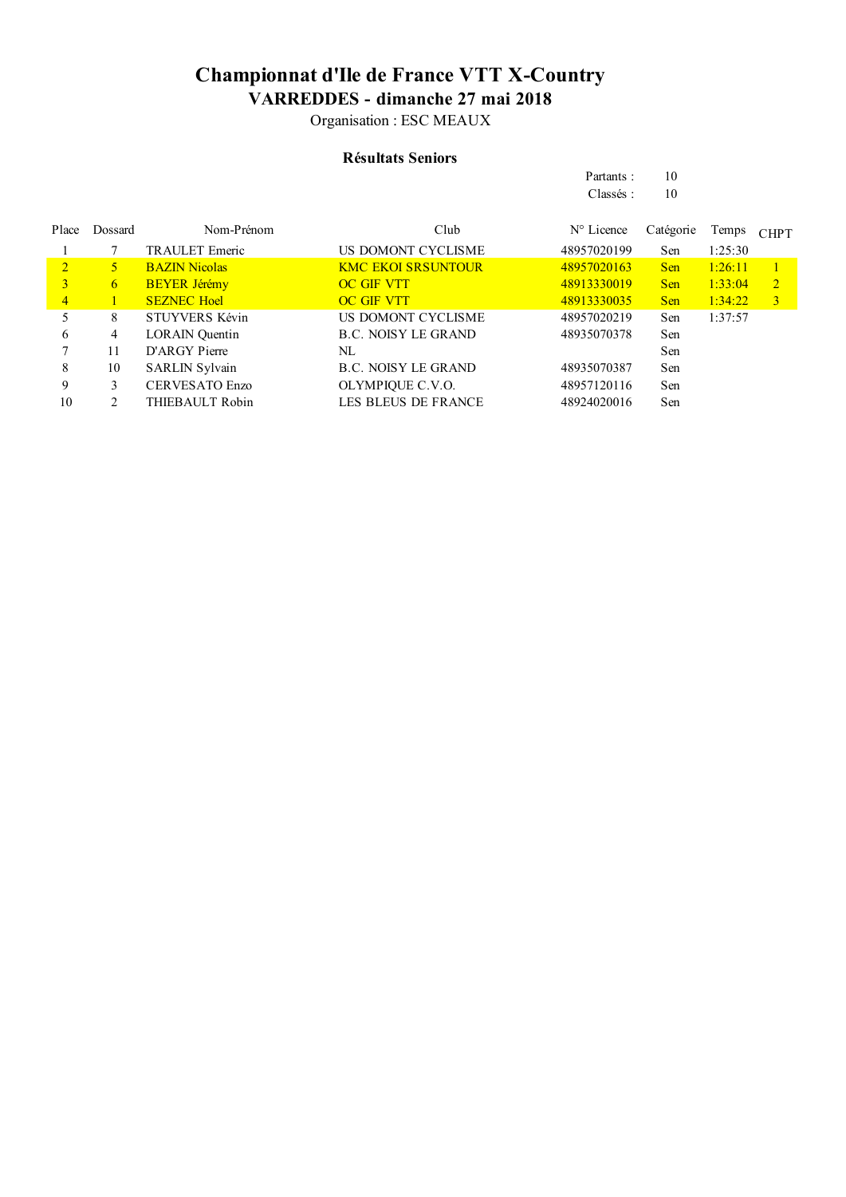Organisation : ESC MEAUX

#### **Résultats Seniors**

|                |         |                       |                            | Classés:            | 10         |         |                |
|----------------|---------|-----------------------|----------------------------|---------------------|------------|---------|----------------|
| Place          | Dossard | Nom-Prénom            | Club                       | $N^{\circ}$ Licence | Catégorie  | Temps   | <b>CHPT</b>    |
|                |         | <b>TRAULET</b> Emeric | US DOMONT CYCLISME         | 48957020199         | Sen        | 1:25:30 |                |
| $\overline{2}$ | 5.      | <b>BAZIN Nicolas</b>  | <b>KMC EKOI SRSUNTOUR</b>  | 48957020163         | <b>Sen</b> | 1:26:11 |                |
| 3              | 6       | <b>BEYER Jérémy</b>   | <b>OC GIF VTT</b>          | 48913330019         | <b>Sen</b> | 1:33:04 | $\overline{2}$ |
| $\overline{4}$ |         | <b>SEZNEC Hoel</b>    | <b>OC GIF VTT</b>          | 48913330035         | <b>Sen</b> | 1:34:22 | $\overline{3}$ |
| 5              | 8       | STUYVERS Kévin        | <b>US DOMONT CYCLISME</b>  | 48957020219         | Sen        | 1:37:57 |                |
| 6              | 4       | <b>LORAIN</b> Quentin | <b>B.C. NOISY LE GRAND</b> | 48935070378         | Sen        |         |                |
|                | 11      | D'ARGY Pierre         | NL                         |                     | Sen        |         |                |
| 8              | 10      | <b>SARLIN Sylvain</b> | <b>B.C. NOISY LE GRAND</b> | 48935070387         | Sen        |         |                |
| 9              | 3       | CERVESATO Enzo        | OLYMPIQUE C.V.O.           | 48957120116         | Sen        |         |                |
| 10             |         | THIEBAULT Robin       | <b>LES BLEUS DE FRANCE</b> | 48924020016         | Sen        |         |                |

Partants : 10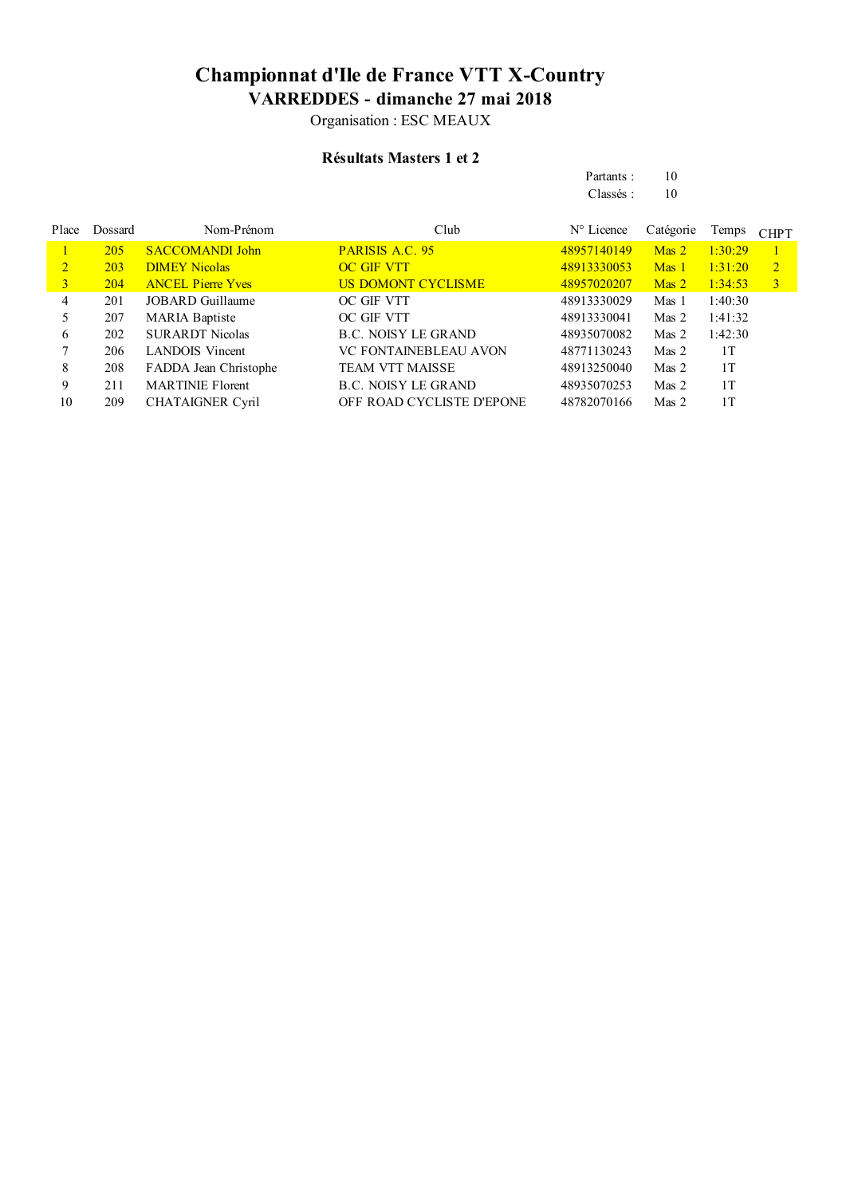Organisation : ESC MEAUX

### **Résultats Masters 1 et 2**

| Partants: | 10 |
|-----------|----|
| Classés:  | 10 |

| Place          | Dossard    | Nom-Prénom               | Club                         | $N^{\circ}$ Licence | Catégorie      | Temps   | <b>CHPT</b>    |
|----------------|------------|--------------------------|------------------------------|---------------------|----------------|---------|----------------|
|                | 205        | <b>SACCOMANDI John</b>   | <b>PARISIS A.C. 95</b>       | 48957140149         | $\n  Mass 2\n$ | 1:30:29 |                |
| $\overline{2}$ | <b>203</b> | <b>DIMEY Nicolas</b>     | <b>OC GIF VTT</b>            | 48913330053         | $\n  Mass 1\n$ | 1:31:20 | $\overline{2}$ |
| 3              | 204        | <b>ANCEL Pierre Yves</b> | <b>US DOMONT CYCLISME</b>    | 48957020207         | $\n  Mass 2\n$ | 1:34:53 | $\mathbf{3}$   |
| 4              | 201        | JOBARD Guillaume         | OC GIF VTT                   | 48913330029         | Mas 1          | 1:40:30 |                |
|                | 207        | <b>MARIA Baptiste</b>    | OC GIF VTT                   | 48913330041         | Mas 2          | 1:41:32 |                |
| 6              | 202        | <b>SURARDT Nicolas</b>   | B.C. NOISY LE GRAND          | 48935070082         | Mas 2          | 1:42:30 |                |
|                | 206        | <b>LANDOIS</b> Vincent   | <b>VC FONTAINEBLEAU AVON</b> | 48771130243         | Mas 2          | 1T      |                |
| 8              | 208        | FADDA Jean Christophe    | <b>TEAM VTT MAISSE</b>       | 48913250040         | Mas 2          | 1T      |                |
| 9              | 211        | <b>MARTINIE Florent</b>  | <b>B.C. NOISY LE GRAND</b>   | 48935070253         | Mas 2          | 1T      |                |
| 10             | 209        | <b>CHATAIGNER Cyril</b>  | OFF ROAD CYCLISTE D'EPONE    | 48782070166         | Mas 2          | 1T      |                |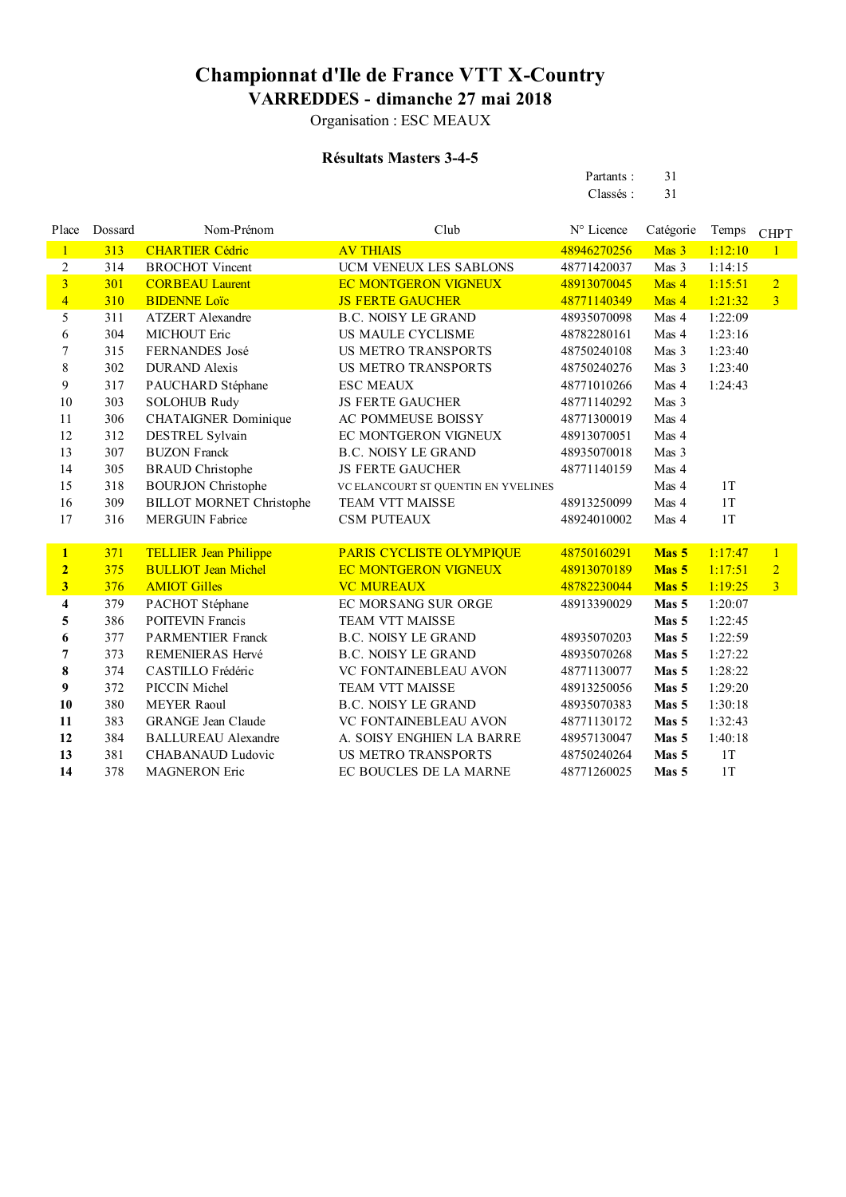Organisation : ESC MEAUX

### **Résultats Masters 3-4-5**

| Partants: | 31 |
|-----------|----|
| Classés:  | 31 |

| Place                   | Dossard | Nom-Prénom                      | Club                                | N° Licence  | Catégorie        | Temps   | <b>CHPT</b>    |
|-------------------------|---------|---------------------------------|-------------------------------------|-------------|------------------|---------|----------------|
| $\mathbf{1}$            | 313     | <b>CHARTIER Cédric</b>          | <b>AV THIAIS</b>                    | 48946270256 | Mas 3            | 1:12:10 | $\mathbf{1}$   |
| $\sqrt{2}$              | 314     | <b>BROCHOT</b> Vincent          | UCM VENEUX LES SABLONS              | 48771420037 | Mas 3            | 1:14:15 |                |
| $\overline{3}$          | 301     | <b>CORBEAU Laurent</b>          | <b>EC MONTGERON VIGNEUX</b>         | 48913070045 | Mas 4            | 1:15:51 | $\overline{2}$ |
| $\overline{4}$          | 310     | <b>BIDENNE Loïc</b>             | <b>JS FERTE GAUCHER</b>             | 48771140349 | Mas 4            | 1:21:32 | $\overline{3}$ |
| 5                       | 311     | <b>ATZERT</b> Alexandre         | <b>B.C. NOISY LE GRAND</b>          | 48935070098 | Mas 4            | 1:22:09 |                |
| 6                       | 304     | <b>MICHOUT Eric</b>             | <b>US MAULE CYCLISME</b>            | 48782280161 | Mas 4            | 1:23:16 |                |
| 7                       | 315     | FERNANDES José                  | <b>US METRO TRANSPORTS</b>          | 48750240108 | Mas 3            | 1:23:40 |                |
| $\,8\,$                 | 302     | <b>DURAND</b> Alexis            | <b>US METRO TRANSPORTS</b>          | 48750240276 | Mas 3            | 1:23:40 |                |
| 9                       | 317     | PAUCHARD Stéphane               | <b>ESC MEAUX</b>                    | 48771010266 | Mas 4            | 1:24:43 |                |
| 10                      | 303     | <b>SOLOHUB Rudy</b>             | <b>JS FERTE GAUCHER</b>             | 48771140292 | Mas 3            |         |                |
| 11                      | 306     | <b>CHATAIGNER Dominique</b>     | AC POMMEUSE BOISSY                  | 48771300019 | Mas 4            |         |                |
| 12                      | 312     | DESTREL Sylvain                 | EC MONTGERON VIGNEUX                | 48913070051 | Mas 4            |         |                |
| 13                      | 307     | <b>BUZON Franck</b>             | <b>B.C. NOISY LE GRAND</b>          | 48935070018 | Mas 3            |         |                |
| 14                      | 305     | <b>BRAUD</b> Christophe         | <b>JS FERTE GAUCHER</b>             | 48771140159 | Mas 4            |         |                |
| 15                      | 318     | <b>BOURJON Christophe</b>       | VC ELANCOURT ST QUENTIN EN YVELINES |             | Mas 4            | 1T      |                |
| 16                      | 309     | <b>BILLOT MORNET Christophe</b> | TEAM VTT MAISSE                     | 48913250099 | Mas 4            | 1T      |                |
| 17                      | 316     | <b>MERGUIN Fabrice</b>          | <b>CSM PUTEAUX</b>                  | 48924010002 | Mas 4            | 1T      |                |
|                         |         |                                 |                                     |             |                  |         |                |
| $\mathbf{1}$            | 371     | <b>TELLIER Jean Philippe</b>    | PARIS CYCLISTE OLYMPIQUE            | 48750160291 | Mas 5            | 1:17:47 | $\overline{1}$ |
| $\overline{2}$          | 375     | <b>BULLIOT Jean Michel</b>      | <b>EC MONTGERON VIGNEUX</b>         | 48913070189 | Mas <sub>5</sub> | 1:17:51 | $\overline{2}$ |
| $\overline{\mathbf{3}}$ | 376     | <b>AMIOT Gilles</b>             | <b>VC MUREAUX</b>                   | 48782230044 | Mas 5            | 1:19:25 | $\overline{3}$ |
| $\boldsymbol{4}$        | 379     | PACHOT Stéphane                 | EC MORSANG SUR ORGE                 | 48913390029 | Mas 5            | 1:20:07 |                |
| 5                       | 386     | <b>POITEVIN Francis</b>         | <b>TEAM VTT MAISSE</b>              |             | Mas 5            | 1:22:45 |                |
| 6                       | 377     | <b>PARMENTIER Franck</b>        | <b>B.C. NOISY LE GRAND</b>          | 48935070203 | Mas 5            | 1:22:59 |                |
| $\overline{7}$          | 373     | REMENIERAS Hervé                | <b>B.C. NOISY LE GRAND</b>          | 48935070268 | Mas 5            | 1:27:22 |                |
| 8                       | 374     | CASTILLO Frédéric               | VC FONTAINEBLEAU AVON               | 48771130077 | Mas 5            | 1:28:22 |                |
| 9                       | 372     | PICCIN Michel                   | <b>TEAM VTT MAISSE</b>              | 48913250056 | Mas 5            | 1:29:20 |                |
| 10                      | 380     | <b>MEYER Raoul</b>              | <b>B.C. NOISY LE GRAND</b>          | 48935070383 | Mas 5            | 1:30:18 |                |
| 11                      | 383     | <b>GRANGE Jean Claude</b>       | VC FONTAINEBLEAU AVON               | 48771130172 | Mas 5            | 1:32:43 |                |
| 12                      | 384     | <b>BALLUREAU Alexandre</b>      | A. SOISY ENGHIEN LA BARRE           | 48957130047 | Mas 5            | 1:40:18 |                |
| 13                      | 381     | CHABANAUD Ludovic               | <b>US METRO TRANSPORTS</b>          | 48750240264 | Mas 5            | 1T      |                |
| 14                      | 378     | <b>MAGNERON</b> Eric            | EC BOUCLES DE LA MARNE              | 48771260025 | Mas 5            | 1T      |                |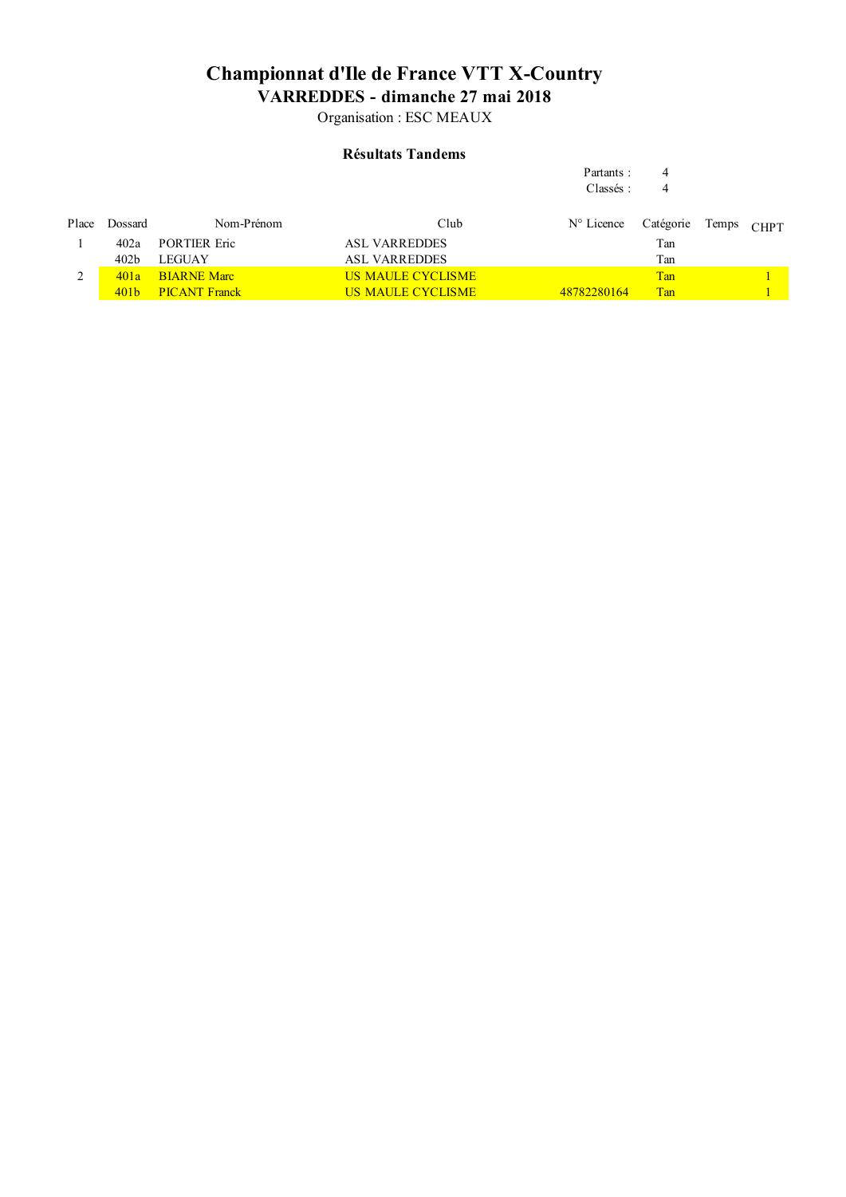Organisation : ESC MEAUX

### **Résultats Tandems**

|               |                  |                      |                          | Partants:           | 4         |       |             |
|---------------|------------------|----------------------|--------------------------|---------------------|-----------|-------|-------------|
|               |                  |                      |                          | Classés:            | 4         |       |             |
| Place         | Dossard          | Nom-Prénom           | Club                     | $N^{\circ}$ Licence | Catégorie | Temps | <b>CHPT</b> |
|               | 402a             | <b>PORTIER Eric</b>  | <b>ASL VARREDDES</b>     |                     | Tan       |       |             |
|               | 402 <sub>b</sub> | <b>LEGUAY</b>        | <b>ASL VARREDDES</b>     |                     | Tan       |       |             |
| $\mathcal{L}$ | 401a             | <b>BIARNE Marc</b>   | <b>US MAULE CYCLISME</b> |                     | Tan       |       |             |
|               | 401 <sub>b</sub> | <b>PICANT Franck</b> | <b>US MAULE CYCLISME</b> | 48782280164         | Tan       |       |             |